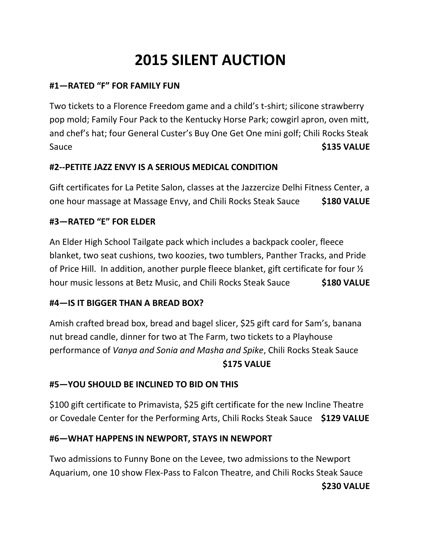# **2015 SILENT AUCTION**

## **#1—RATED "F" FOR FAMILY FUN**

Two tickets to a Florence Freedom game and a child's t-shirt; silicone strawberry pop mold; Family Four Pack to the Kentucky Horse Park; cowgirl apron, oven mitt, and chef's hat; four General Custer's Buy One Get One mini golf; Chili Rocks Steak Sauce **\$135 VALUE** 

## **#2--PETITE JAZZ ENVY IS A SERIOUS MEDICAL CONDITION**

Gift certificates for La Petite Salon, classes at the Jazzercize Delhi Fitness Center, a one hour massage at Massage Envy, and Chili Rocks Steak Sauce **\$180 VALUE**

## **#3—RATED "E" FOR ELDER**

An Elder High School Tailgate pack which includes a backpack cooler, fleece blanket, two seat cushions, two koozies, two tumblers, Panther Tracks, and Pride of Price Hill. In addition, another purple fleece blanket, gift certificate for four ½ hour music lessons at Betz Music, and Chili Rocks Steak Sauce **\$180 VALUE**

## **#4—IS IT BIGGER THAN A BREAD BOX?**

Amish crafted bread box, bread and bagel slicer, \$25 gift card for Sam's, banana nut bread candle, dinner for two at The Farm, two tickets to a Playhouse performance of *Vanya and Sonia and Masha and Spike*, Chili Rocks Steak Sauce **\$175 VALUE**

## **#5—YOU SHOULD BE INCLINED TO BID ON THIS**

\$100 gift certificate to Primavista, \$25 gift certificate for the new Incline Theatre or Covedale Center for the Performing Arts, Chili Rocks Steak Sauce **\$129 VALUE**

## **#6—WHAT HAPPENS IN NEWPORT, STAYS IN NEWPORT**

Two admissions to Funny Bone on the Levee, two admissions to the Newport Aquarium, one 10 show Flex-Pass to Falcon Theatre, and Chili Rocks Steak Sauce **\$230 VALUE**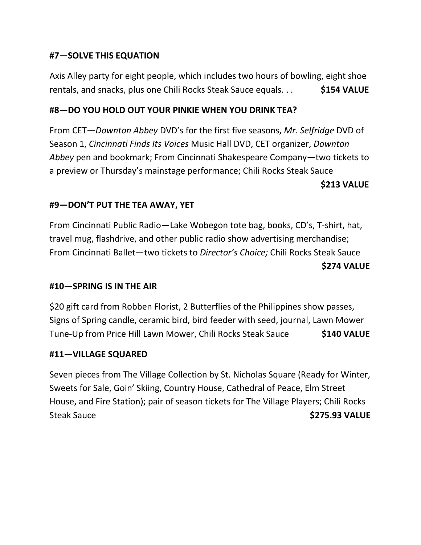## **#7—SOLVE THIS EQUATION**

Axis Alley party for eight people, which includes two hours of bowling, eight shoe rentals, and snacks, plus one Chili Rocks Steak Sauce equals. . . **\$154 VALUE**

## **#8—DO YOU HOLD OUT YOUR PINKIE WHEN YOU DRINK TEA?**

From CET—*Downton Abbey* DVD's for the first five seasons, *Mr. Selfridge* DVD of Season 1, *Cincinnati Finds Its Voices* Music Hall DVD, CET organizer, *Downton Abbey* pen and bookmark; From Cincinnati Shakespeare Company—two tickets to a preview or Thursday's mainstage performance; Chili Rocks Steak Sauce

#### **\$213 VALUE**

#### **#9—DON'T PUT THE TEA AWAY, YET**

From Cincinnati Public Radio—Lake Wobegon tote bag, books, CD's, T-shirt, hat, travel mug, flashdrive, and other public radio show advertising merchandise; From Cincinnati Ballet—two tickets to *Director's Choice;* Chili Rocks Steak Sauce **\$274 VALUE**

## **#10—SPRING IS IN THE AIR**

\$20 gift card from Robben Florist, 2 Butterflies of the Philippines show passes, Signs of Spring candle, ceramic bird, bird feeder with seed, journal, Lawn Mower Tune-Up from Price Hill Lawn Mower, Chili Rocks Steak Sauce **\$140 VALUE**

#### **#11—VILLAGE SQUARED**

Seven pieces from The Village Collection by St. Nicholas Square (Ready for Winter, Sweets for Sale, Goin' Skiing, Country House, Cathedral of Peace, Elm Street House, and Fire Station); pair of season tickets for The Village Players; Chili Rocks Steak Sauce **\$275.93 VALUE**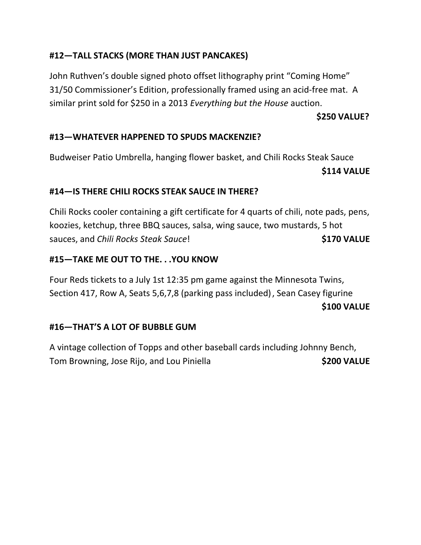## **#12—TALL STACKS (MORE THAN JUST PANCAKES)**

John Ruthven's double signed photo offset lithography print "Coming Home" 31/50 Commissioner's Edition, professionally framed using an acid-free mat. A similar print sold for \$250 in a 2013 *Everything but the House* auction.

## **\$250 VALUE?**

## **#13—WHATEVER HAPPENED TO SPUDS MACKENZIE?**

Budweiser Patio Umbrella, hanging flower basket, and Chili Rocks Steak Sauce **\$114 VALUE**

## **#14—IS THERE CHILI ROCKS STEAK SAUCE IN THERE?**

Chili Rocks cooler containing a gift certificate for 4 quarts of chili, note pads, pens, koozies, ketchup, three BBQ sauces, salsa, wing sauce, two mustards, 5 hot sauces, and *Chili Rocks Steak Sauce*! **\$170 VALUE**

## **#15—TAKE ME OUT TO THE. . .YOU KNOW**

Four Reds tickets to a July 1st 12:35 pm game against the Minnesota Twins, Section 417, Row A, Seats 5,6,7,8 (parking pass included), Sean Casey figurine **\$100 VALUE**

## **#16—THAT'S A LOT OF BUBBLE GUM**

A vintage collection of Topps and other baseball cards including Johnny Bench, Tom Browning, Jose Rijo, and Lou Piniella **\$200 VALUE**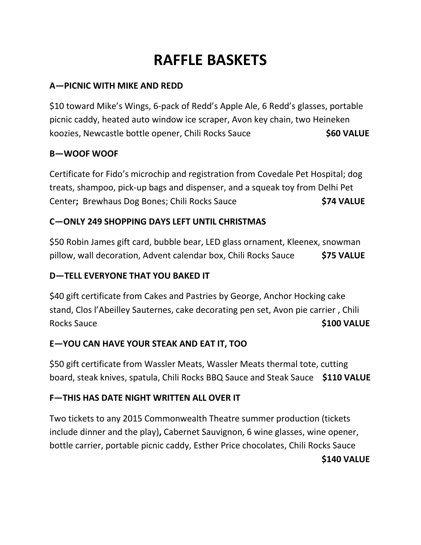# **RAFFLE BASKETS**

## **A—PICNIC WITH MIKE AND REDD**

\$10 toward Mike's Wings, 6-pack of Redd's Apple Ale, 6 Redd's glasses, portable picnic caddy, heated auto window ice scraper, Avon key chain, two Heineken koozies, Newcastle bottle opener, Chili Rocks Sauce **\$60 VALUE**

## **B—WOOF WOOF**

Certificate for Fido's microchip and registration from Covedale Pet Hospital; dog treats, shampoo, pick-up bags and dispenser, and a squeak toy from Delhi Pet Center**;** Brewhaus Dog Bones; Chili Rocks Sauce **\$74 VALUE**

## **C—ONLY 249 SHOPPING DAYS LEFT UNTIL CHRISTMAS**

\$50 Robin James gift card, bubble bear, LED glass ornament, Kleenex, snowman pillow, wall decoration, Advent calendar box, Chili Rocks Sauce **\$75 VALUE**

## **D—TELL EVERYONE THAT YOU BAKED IT**

\$40 gift certificate from Cakes and Pastries by George, Anchor Hocking cake stand, Clos l'Abeilley Sauternes, cake decorating pen set, Avon pie carrier , Chili Rocks Sauce **\$100 VALUE** 

## **E—YOU CAN HAVE YOUR STEAK AND EAT IT, TOO**

\$50 gift certificate from Wassler Meats, Wassler Meats thermal tote, cutting board, steak knives, spatula, Chili Rocks BBQ Sauce and Steak Sauce **\$110 VALUE**

## **F—THIS HAS DATE NIGHT WRITTEN ALL OVER IT**

Two tickets to any 2015 Commonwealth Theatre summer production (tickets include dinner and the play)**,** Cabernet Sauvignon, 6 wine glasses, wine opener, bottle carrier, portable picnic caddy, Esther Price chocolates, Chili Rocks Sauce **\$140 VALUE**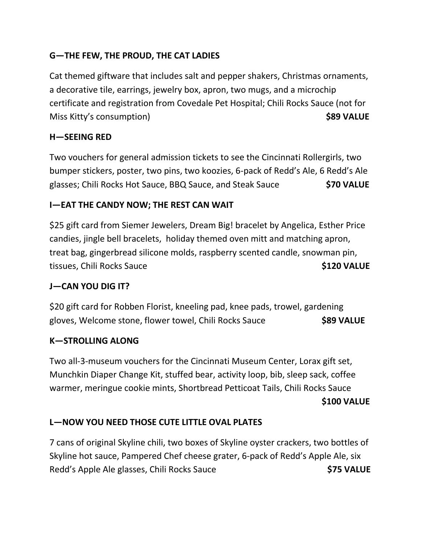## **G—THE FEW, THE PROUD, THE CAT LADIES**

Cat themed giftware that includes salt and pepper shakers, Christmas ornaments, a decorative tile, earrings, jewelry box, apron, two mugs, and a microchip certificate and registration from Covedale Pet Hospital; Chili Rocks Sauce (not for Miss Kitty's consumption) **\$89 VALUE**

## **H—SEEING RED**

Two vouchers for general admission tickets to see the Cincinnati Rollergirls, two bumper stickers, poster, two pins, two koozies, 6-pack of Redd's Ale, 6 Redd's Ale glasses; Chili Rocks Hot Sauce, BBQ Sauce, and Steak Sauce **\$70 VALUE**

## **I—EAT THE CANDY NOW; THE REST CAN WAIT**

\$25 gift card from Siemer Jewelers, Dream Big! bracelet by Angelica, Esther Price candies, jingle bell bracelets, holiday themed oven mitt and matching apron, treat bag, gingerbread silicone molds, raspberry scented candle, snowman pin, tissues, Chili Rocks Sauce **\$120 VALUE** 

## **J—CAN YOU DIG IT?**

\$20 gift card for Robben Florist, kneeling pad, knee pads, trowel, gardening gloves, Welcome stone, flower towel, Chili Rocks Sauce **\$89 VALUE**

## **K—STROLLING ALONG**

Two all-3-museum vouchers for the Cincinnati Museum Center, Lorax gift set, Munchkin Diaper Change Kit, stuffed bear, activity loop, bib, sleep sack, coffee warmer, meringue cookie mints, Shortbread Petticoat Tails, Chili Rocks Sauce

#### **\$100 VALUE**

## **L—NOW YOU NEED THOSE CUTE LITTLE OVAL PLATES**

7 cans of original Skyline chili, two boxes of Skyline oyster crackers, two bottles of Skyline hot sauce, Pampered Chef cheese grater, 6-pack of Redd's Apple Ale, six Redd's Apple Ale glasses, Chili Rocks Sauce **\$75 VALUE**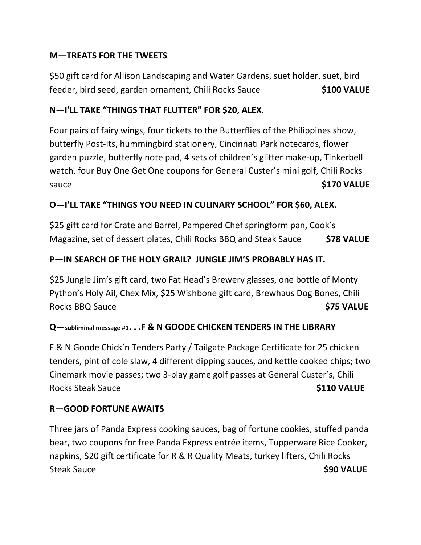## **M—TREATS FOR THE TWEETS**

\$50 gift card for Allison Landscaping and Water Gardens, suet holder, suet, bird feeder, bird seed, garden ornament, Chili Rocks Sauce **\$100 VALUE**

## **N—I'LL TAKE "THINGS THAT FLUTTER" FOR \$20, ALEX.**

Four pairs of fairy wings, four tickets to the Butterflies of the Philippines show, butterfly Post-Its, hummingbird stationery, Cincinnati Park notecards, flower garden puzzle, butterfly note pad, 4 sets of children's glitter make-up, Tinkerbell watch, four Buy One Get One coupons for General Custer's mini golf, Chili Rocks sauce **\$170 VALUE** 

## **O—I'LL TAKE "THINGS YOU NEED IN CULINARY SCHOOL" FOR \$60, ALEX.**

\$25 gift card for Crate and Barrel, Pampered Chef springform pan, Cook's Magazine, set of dessert plates, Chili Rocks BBQ and Steak Sauce **\$78 VALUE**

## **P—IN SEARCH OF THE HOLY GRAIL? JUNGLE JIM'S PROBABLY HAS IT.**

\$25 Jungle Jim's gift card, two Fat Head's Brewery glasses, one bottle of Monty Python's Holy Ail, Chex Mix, \$25 Wishbone gift card, Brewhaus Dog Bones, Chili Rocks BBQ Sauce **\$75 VALUE** 

## **Q—subliminal message #1. . .F & N GOODE CHICKEN TENDERS IN THE LIBRARY**

F & N Goode Chick'n Tenders Party / Tailgate Package Certificate for 25 chicken tenders, pint of cole slaw, 4 different dipping sauces, and kettle cooked chips; two Cinemark movie passes; two 3-play game golf passes at General Custer's, Chili Rocks Steak Sauce **\$110 VALUE** 

## **R—GOOD FORTUNE AWAITS**

Three jars of Panda Express cooking sauces, bag of fortune cookies, stuffed panda bear, two coupons for free Panda Express entrée items, Tupperware Rice Cooker, napkins, \$20 gift certificate for R & R Quality Meats, turkey lifters, Chili Rocks Steak Sauce **\$90 VALUE**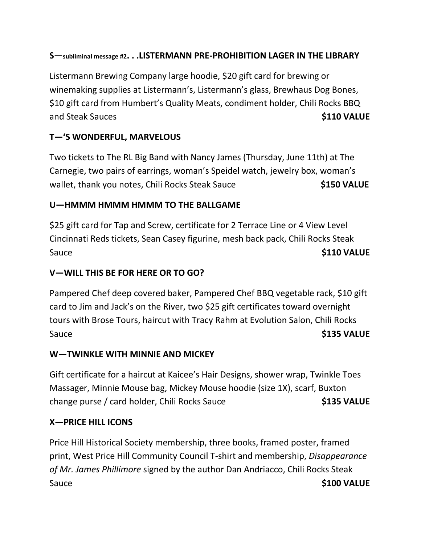## **S—subliminal message #2. . .LISTERMANN PRE-PROHIBITION LAGER IN THE LIBRARY**

Listermann Brewing Company large hoodie, \$20 gift card for brewing or winemaking supplies at Listermann's, Listermann's glass, Brewhaus Dog Bones, \$10 gift card from Humbert's Quality Meats, condiment holder, Chili Rocks BBQ and Steak Sauces **by Supplement Controller Steak Sauces \$110 VALUE** 

# **T—'S WONDERFUL, MARVELOUS**

Two tickets to The RL Big Band with Nancy James (Thursday, June 11th) at The Carnegie, two pairs of earrings, woman's Speidel watch, jewelry box, woman's wallet, thank you notes, Chili Rocks Steak Sauce **\$150 VALUE** 

## **U—HMMM HMMM HMMM TO THE BALLGAME**

\$25 gift card for Tap and Screw, certificate for 2 Terrace Line or 4 View Level Cincinnati Reds tickets, Sean Casey figurine, mesh back pack, Chili Rocks Steak Sauce **\$110 VALUE** 

# **V—WILL THIS BE FOR HERE OR TO GO?**

Pampered Chef deep covered baker, Pampered Chef BBQ vegetable rack, \$10 gift card to Jim and Jack's on the River, two \$25 gift certificates toward overnight tours with Brose Tours, haircut with Tracy Rahm at Evolution Salon, Chili Rocks Sauce **\$135 VALUE** 

## **W—TWINKLE WITH MINNIE AND MICKEY**

Gift certificate for a haircut at Kaicee's Hair Designs, shower wrap, Twinkle Toes Massager, Minnie Mouse bag, Mickey Mouse hoodie (size 1X), scarf, Buxton change purse / card holder, Chili Rocks Sauce **\$135 VALUE**

## **X—PRICE HILL ICONS**

Price Hill Historical Society membership, three books, framed poster, framed print, West Price Hill Community Council T-shirt and membership, *Disappearance of Mr. James Phillimore* signed by the author Dan Andriacco, Chili Rocks Steak Sauce **\$100 VALUE**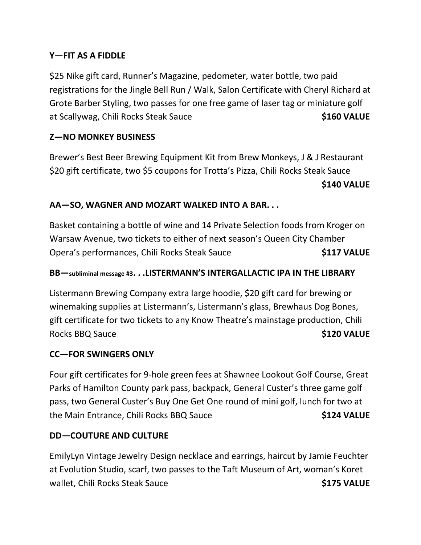## **Y—FIT AS A FIDDLE**

\$25 Nike gift card, Runner's Magazine, pedometer, water bottle, two paid registrations for the Jingle Bell Run / Walk, Salon Certificate with Cheryl Richard at Grote Barber Styling, two passes for one free game of laser tag or miniature golf at Scallywag, Chili Rocks Steak Sauce **\$160 VALUE** 

## **Z—NO MONKEY BUSINESS**

Brewer's Best Beer Brewing Equipment Kit from Brew Monkeys, J & J Restaurant \$20 gift certificate, two \$5 coupons for Trotta's Pizza, Chili Rocks Steak Sauce **\$140 VALUE**

## **AA—SO, WAGNER AND MOZART WALKED INTO A BAR. . .**

Basket containing a bottle of wine and 14 Private Selection foods from Kroger on Warsaw Avenue, two tickets to either of next season's Queen City Chamber Opera's performances, Chili Rocks Steak Sauce **\$117 VALUE**

#### **BB—subliminal message #3. . .LISTERMANN'S INTERGALLACTIC IPA IN THE LIBRARY**

Listermann Brewing Company extra large hoodie, \$20 gift card for brewing or winemaking supplies at Listermann's, Listermann's glass, Brewhaus Dog Bones, gift certificate for two tickets to any Know Theatre's mainstage production, Chili Rocks BBQ Sauce **\$120 VALUE** 

#### **CC—FOR SWINGERS ONLY**

Four gift certificates for 9-hole green fees at Shawnee Lookout Golf Course, Great Parks of Hamilton County park pass, backpack, General Custer's three game golf pass, two General Custer's Buy One Get One round of mini golf, lunch for two at the Main Entrance, Chili Rocks BBQ Sauce **\$124 VALUE**

## **DD—COUTURE AND CULTURE**

EmilyLyn Vintage Jewelry Design necklace and earrings, haircut by Jamie Feuchter at Evolution Studio, scarf, two passes to the Taft Museum of Art, woman's Koret wallet, Chili Rocks Steak Sauce **\$175 VALUE**